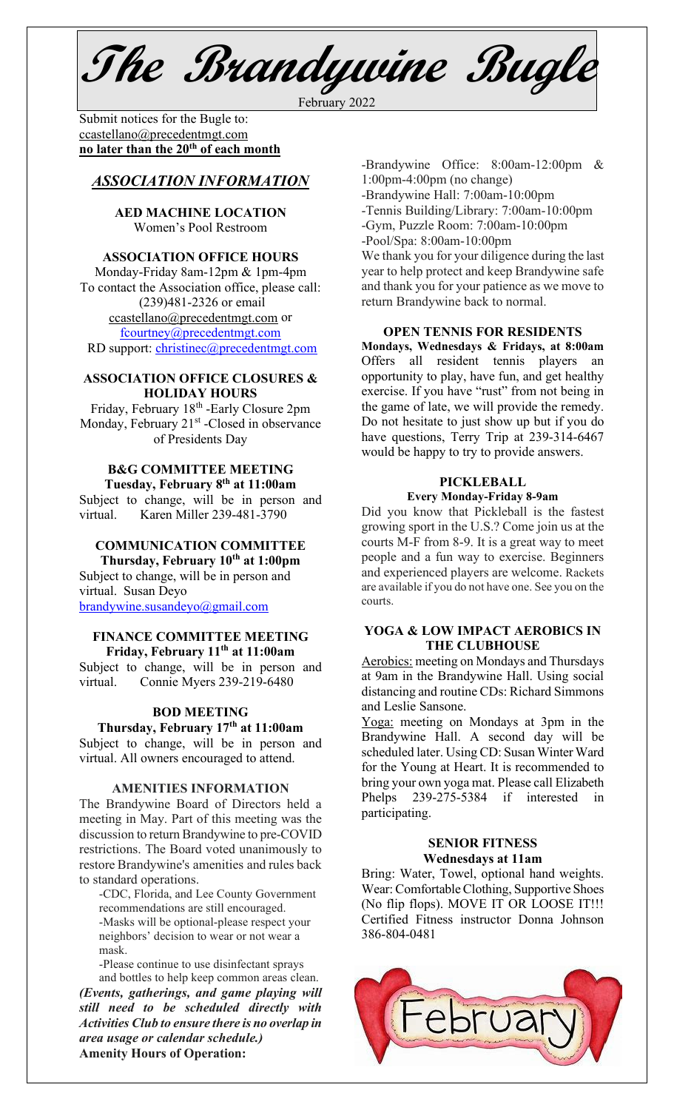**The Brandywine Bugle**

February 2022

Submit notices for the Bugle to:[ccastellano@precedentmgt.com](mailto:johnandbethgrooms@gmail.com) **no later than the 20th of each month**

## *ASSOCIATION INFORMATION*

#### **AED MACHINE LOCATION**  Women's Pool Restroom

#### **ASSOCIATION OFFICE HOURS**

Monday-Friday 8am-12pm & 1pm-4pm To contact the Association office, please call: (239)481-2326 or email [ccastellano@precedentmgt.com](mailto:ccastellano@precedentmgt.com) or [fcourtney@precedentmgt.com](mailto:fcourtney@precedentmgt.com) RD support: [christinec@precedentmgt.com](mailto:christinec@precedentmgt.com)

#### **ASSOCIATION OFFICE CLOSURES & HOLIDAY HOURS**

Friday, February 18<sup>th</sup> -Early Closure 2pm Monday, February 21<sup>st</sup> -Closed in observance of Presidents Day

#### **B&G COMMITTEE MEETING Tuesday, February 8th at 11:00am**

Subject to change, will be in person and virtual. Karen Miller 239-481-3790

# **COMMUNICATION COMMITTEE**

**Thursday, February 10th at 1:00pm** Subject to change, will be in person and virtual. Susan Deyo [brandywine.susandeyo@gmail.com](mailto:brandywine.susandeyo@gmail.com)

#### **FINANCE COMMITTEE MEETING Friday, February 11th at 11:00am**

Subject to change, will be in person and virtual. Connie Myers 239-219-6480

# **BOD MEETING**

# **Thursday, February 17th at 11:00am**

Subject to change, will be in person and virtual. All owners encouraged to attend.

#### **AMENITIES INFORMATION**

The Brandywine Board of Directors held a meeting in May. Part of this meeting was the discussion to return Brandywine to pre-COVID restrictions. The Board voted unanimously to restore Brandywine's amenities and rules back to standard operations.

-CDC, Florida, and Lee County Government recommendations are still encouraged. -Masks will be optional-please respect your neighbors' decision to wear or not wear a mask.

-Please continue to use disinfectant sprays and bottles to help keep common areas clean. *(Events, gatherings, and game playing will still need to be scheduled directly with Activities Club to ensure there is no overlap in area usage or calendar schedule.)* **Amenity Hours of Operation:**

-Brandywine Office: 8:00am-12:00pm & 1:00pm-4:00pm (no change) -Brandywine Hall: 7:00am-10:00pm

-Tennis Building/Library: 7:00am-10:00pm

-Gym, Puzzle Room: 7:00am-10:00pm

-Pool/Spa: 8:00am-10:00pm

We thank you for your diligence during the last year to help protect and keep Brandywine safe and thank you for your patience as we move to return Brandywine back to normal.

#### **OPEN TENNIS FOR RESIDENTS**

**Mondays, Wednesdays & Fridays, at 8:00am** Offers all resident tennis players an opportunity to play, have fun, and get healthy exercise. If you have "rust" from not being in the game of late, we will provide the remedy. Do not hesitate to just show up but if you do have questions, Terry Trip at 239-314-6467 would be happy to try to provide answers.

#### **PICKLEBALL Every Monday-Friday 8-9am**

Did you know that Pickleball is the fastest growing sport in the U.S.? Come join us at the courts M-F from 8-9. It is a great way to meet people and a fun way to exercise. Beginners and experienced players are welcome. Rackets are available if you do not have one. See you on the courts.

#### **YOGA & LOW IMPACT AEROBICS IN THE CLUBHOUSE**

Aerobics: meeting on Mondays and Thursdays at 9am in the Brandywine Hall. Using social distancing and routine CDs: Richard Simmons and Leslie Sansone.

Yoga: meeting on Mondays at 3pm in the Brandywine Hall. A second day will be scheduled later. Using CD: Susan Winter Ward for the Young at Heart. It is recommended to bring your own yoga mat. Please call Elizabeth Phelps 239-275-5384 if interested in participating.

#### **SENIOR FITNESS Wednesdays at 11am**

Bring: Water, Towel, optional hand weights. Wear: Comfortable Clothing, Supportive Shoes (No flip flops). MOVE IT OR LOOSE IT!!! Certified Fitness instructor Donna Johnson 386-804-0481

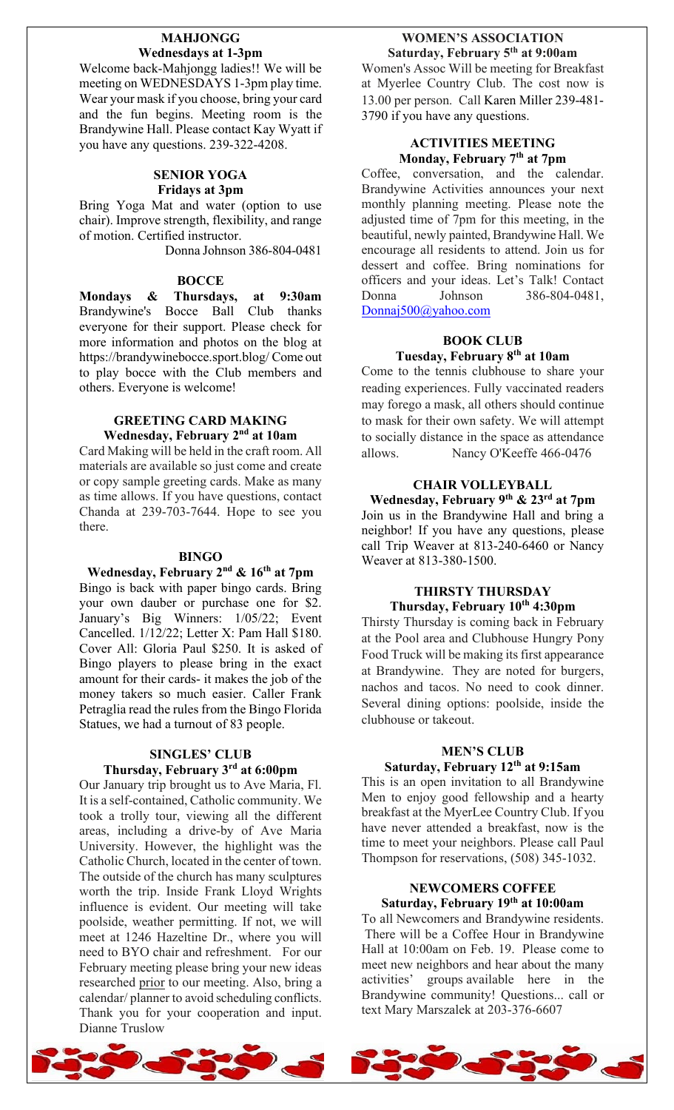#### **MAHJONGG Wednesdays at 1-3pm**

Welcome back-Mahjongg ladies!! We will be meeting on WEDNESDAYS 1-3pm play time. Wear your mask if you choose, bring your card and the fun begins. Meeting room is the Brandywine Hall. Please contact Kay Wyatt if you have any questions. 239-322-4208.

#### **SENIOR YOGA Fridays at 3pm**

Bring Yoga Mat and water (option to use chair). Improve strength, flexibility, and range of motion. Certified instructor.

Donna Johnson 386-804-0481

#### **BOCCE**

**Mondays & Thursdays, at 9:30am** Brandywine's Bocce Ball Club thanks everyone for their support. Please check for more information and photos on the blog at https://brandywinebocce.sport.blog/ Come out to play bocce with the Club members and others. Everyone is welcome!

# **GREETING CARD MAKING Wednesday, February 2nd at 10am**

Card Making will be held in the craft room. All materials are available so just come and create or copy sample greeting cards. Make as many as time allows. If you have questions, contact Chanda at 239-703-7644. Hope to see you there.

#### **BINGO**

#### **Wednesday, February 2nd & 16th at 7pm**

Bingo is back with paper bingo cards. Bring your own dauber or purchase one for \$2. January's Big Winners: 1/05/22; Event Cancelled. 1/12/22; Letter X: Pam Hall \$180. Cover All: Gloria Paul \$250. It is asked of Bingo players to please bring in the exact amount for their cards- it makes the job of the money takers so much easier. Caller Frank Petraglia read the rules from the Bingo Florida Statues, we had a turnout of 83 people.

#### **SINGLES' CLUB Thursday, February 3rd at 6:00pm**

Our January trip brought us to Ave Maria, Fl. It is a self-contained, Catholic community. We took a trolly tour, viewing all the different areas, including a drive-by of Ave Maria University. However, the highlight was the Catholic Church, located in the center of town. The outside of the church has many sculptures worth the trip. Inside Frank Lloyd Wrights influence is evident. Our meeting will take poolside, weather permitting. If not, we will meet at 1246 Hazeltine Dr., where you will need to BYO chair and refreshment. For our February meeting please bring your new ideas researched prior to our meeting. Also, bring a calendar/ planner to avoid scheduling conflicts. Thank you for your cooperation and input. Dianne Truslow

#### **WOMEN'S ASSOCIATION Saturday, February 5th at 9:00am**

Women's Assoc Will be meeting for Breakfast at Myerlee Country Club. The cost now is 13.00 per person. Call Karen Miller 239-481- 3790 if you have any questions.

#### **ACTIVITIES MEETING Monday, February 7th at 7pm**

Coffee, conversation, and the calendar. Brandywine Activities announces your next monthly planning meeting. Please note the adjusted time of 7pm for this meeting, in the beautiful, newly painted, Brandywine Hall. We encourage all residents to attend. Join us for dessert and coffee. Bring nominations for officers and your ideas. Let's Talk! Contact Donna Johnson 386-804-0481, [Donnaj500@yahoo.com](mailto:Donnaj500@yahoo.com)

# **BOOK CLUB Tuesday, February 8th at 10am**

Come to the tennis clubhouse to share your reading experiences. Fully vaccinated readers may forego a mask, all others should continue to mask for their own safety. We will attempt to socially distance in the space as attendance allows. Nancy O'Keeffe 466-0476

#### **CHAIR VOLLEYBALL**

**Wednesday, February 9th & 23rd at 7pm** Join us in the Brandywine Hall and bring a neighbor! If you have any questions, please call Trip Weaver at 813-240-6460 or Nancy Weaver at 813-380-1500.

#### **THIRSTY THURSDAY Thursday, February 10th 4:30pm**

Thirsty Thursday is coming back in February at the Pool area and Clubhouse Hungry Pony Food Truck will be making its first appearance at Brandywine. They are noted for burgers, nachos and tacos. No need to cook dinner. Several dining options: poolside, inside the clubhouse or takeout.

#### **MEN'S CLUB**

#### **Saturday, February 12th at 9:15am**

This is an open invitation to all Brandywine Men to enjoy good fellowship and a hearty breakfast at the MyerLee Country Club. If you have never attended a breakfast, now is the time to meet your neighbors. Please call Paul Thompson for reservations, (508) 345-1032.

#### **NEWCOMERS COFFEE Saturday, February 19th at 10:00am**

To all Newcomers and Brandywine residents. There will be a Coffee Hour in Brandywine Hall at 10:00am on Feb. 19. Please come to meet new neighbors and hear about the many activities' groups available here in the Brandywine community! Questions... call or text Mary Marszalek at 203-376-6607

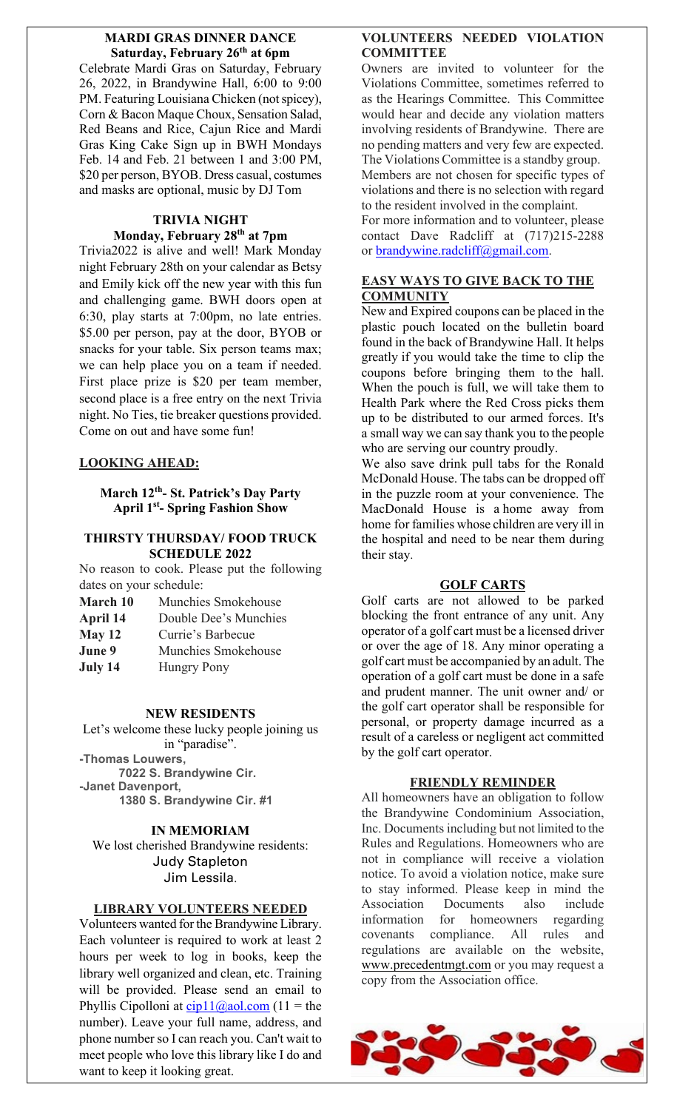#### **MARDI GRAS DINNER DANCE Saturday, February 26th at 6pm**

Celebrate Mardi Gras on Saturday, February 26, 2022, in Brandywine Hall, 6:00 to 9:00 PM. Featuring Louisiana Chicken (not spicey), Corn & Bacon Maque Choux, Sensation Salad, Red Beans and Rice, Cajun Rice and Mardi Gras King Cake Sign up in BWH Mondays Feb. 14 and Feb. 21 between 1 and 3:00 PM, \$20 per person, BYOB. Dress casual, costumes and masks are optional, music by DJ Tom

## **TRIVIA NIGHT Monday, February 28th at 7pm**

Trivia2022 is alive and well! Mark Monday night February 28th on your calendar as Betsy and Emily kick off the new year with this fun and challenging game. BWH doors open at 6:30, play starts at 7:00pm, no late entries. \$5.00 per person, pay at the door, BYOB or snacks for your table. Six person teams max; we can help place you on a team if needed. First place prize is \$20 per team member, second place is a free entry on the next Trivia night. No Ties, tie breaker questions provided. Come on out and have some fun!

# **LOOKING AHEAD:**

#### **March 12th- St. Patrick's Day Party April 1st- Spring Fashion Show**

# **THIRSTY THURSDAY/ FOOD TRUCK SCHEDULE 2022**

No reason to cook. Please put the following dates on your schedule:

| <b>March 10</b> | Munchies Smokehouse   |
|-----------------|-----------------------|
| April 14        | Double Dee's Munchies |
| May 12          | Currie's Barbecue     |
| June 9          | Munchies Smokehouse   |
| July 14         | <b>Hungry Pony</b>    |

#### **NEW RESIDENTS**

Let's welcome these lucky people joining us in "paradise". **-Thomas Louwers, 7022 S. Brandywine Cir. -Janet Davenport,**

**1380 S. Brandywine Cir. #1**

# **IN MEMORIAM**

We lost cherished Brandywine residents: Judy Stapleton Jim Lessila.

#### **LIBRARY VOLUNTEERS NEEDED**

Volunteers wanted for the Brandywine Library. Each volunteer is required to work at least 2 hours per week to log in books, keep the library well organized and clean, etc. Training will be provided. Please send an email to Phyllis Cipolloni at  $cip11@aol.com (11 = the$  $cip11@aol.com (11 = the$  $cip11@aol.com (11 = the$ </u> number). Leave your full name, address, and phone number so I can reach you. Can't wait to meet people who love this library like I do and want to keep it looking great.

## **VOLUNTEERS NEEDED VIOLATION COMMITTEE**

Owners are invited to volunteer for the Violations Committee, sometimes referred to as the Hearings Committee. This Committee would hear and decide any violation matters involving residents of Brandywine. There are no pending matters and very few are expected. The Violations Committee is a standby group. Members are not chosen for specific types of violations and there is no selection with regard to the resident involved in the complaint.

For more information and to volunteer, please contact Dave Radcliff at (717)215-2288 or [brandywine.radcliff@gmail.com.](mailto:brandywine.radcliff@gmail.com)

# **EASY WAYS TO GIVE BACK TO THE COMMUNITY**

New and Expired coupons can be placed in the plastic pouch located on the bulletin board found in the back of Brandywine Hall. It helps greatly if you would take the time to clip the coupons before bringing them to the hall. When the pouch is full, we will take them to Health Park where the Red Cross picks them up to be distributed to our armed forces. It's a small way we can say thank you to the people who are serving our country proudly.

We also save drink pull tabs for the Ronald McDonald House. The tabs can be dropped off in the puzzle room at your convenience. The MacDonald House is a home away from home for families whose children are very ill in the hospital and need to be near them during their stay.

# **GOLF CARTS**

Golf carts are not allowed to be parked blocking the front entrance of any unit. Any operator of a golf cart must be a licensed driver or over the age of 18. Any minor operating a golf cart must be accompanied by an adult. The operation of a golf cart must be done in a safe and prudent manner. The unit owner and/ or the golf cart operator shall be responsible for personal, or property damage incurred as a result of a careless or negligent act committed by the golf cart operator.

# **FRIENDLY REMINDER**

All homeowners have an obligation to follow the Brandywine Condominium Association, Inc. Documents including but not limited to the Rules and Regulations. Homeowners who are not in compliance will receive a violation notice. To avoid a violation notice, make sure to stay informed. Please keep in mind the Association Documents also include information for homeowners regarding covenants compliance. All rules and regulations are available on the website, [www.precedentmgt.com](http://www.precedentmgt.com/) or you may request a copy from the Association office.